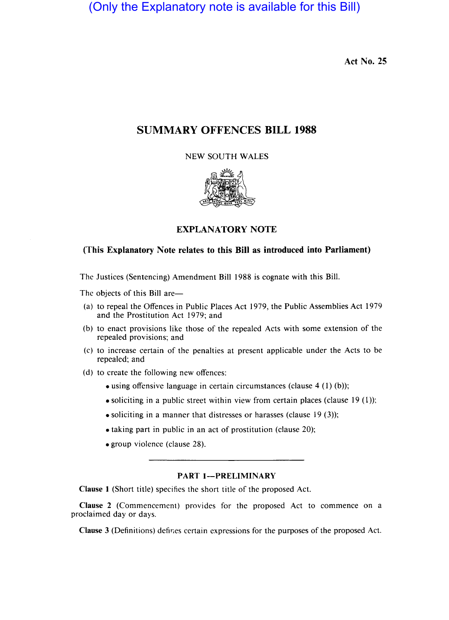(Only the Explanatory note is available for this Bill)

Act No. 25

# SUMMARY OFFENCES BILL 1988

NEW SOUTH WALES



# EXPLANATORY NOTE

## (This Explanatory Note relates to this Bill as introduced into Parliament)

The Justices (Sentencing) Amendment Bill 1988 is cognate with this Bill.

The objects of this Bill are—

- (a) to repeal the Offences in Public Places Act 1979, the Public Assemblies Act 1979 and the Prostitution Act 1979; and
- (b) to enact provisions like those of the repealed Acts with some extension of the repealed provisions; and
- (c) to increase certain of the penalties at present applicable under the Acts to be repealed; and
- (d) to create the following new offences:
	- using offensive language in certain circumstances (clause 4 (1) (b));
	- $\bullet$  soliciting in a public street within view from certain places (clause 19 (1));
	- soliciting in a manner that distresses or harasses (clause  $19(3)$ );
	- taking part in public in an act of prostitution (clause 20);
	- group violence (clause 28).

#### PART 1-PRELIMINARY

Clause 1 (Short title) specifies the short title of the proposed Act.

Clause 2 (Commencement) provides for the proposed Act to commence on a proclaimed day or days.

Clause 3 (Definitions) defir.es certain expressions for the purposes of the proposed Act.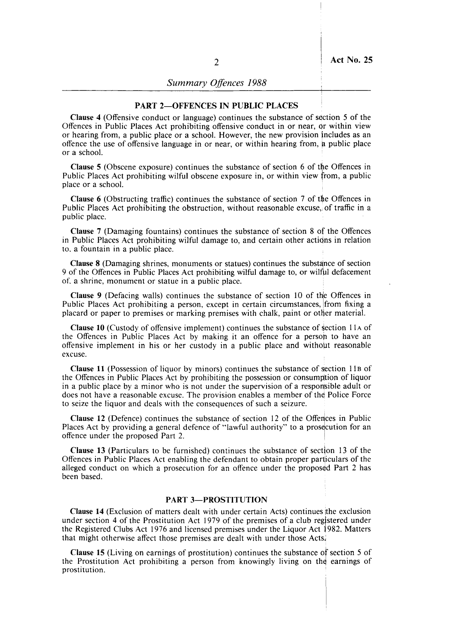### PART 2-OFFENCES IN PUBLIC PLACES

Clause 4 (Offensive conduct or language) continues the substance of section 5 of the Offences in Public Places Act prohibiting offensive conduct in or near, Or within view or hearing from, a public place or a school. However, the new provision includes as an offence the use of offensive language in or near, or within hearing from, a public place or a school. If you can also be a set of  $\mathcal{L}$  is a set of  $\mathcal{L}$  is a set of  $\mathcal{L}$  is a set of  $\mathcal{L}$ 

Clause 5 (Obscene exposure) continues the substance of section 6 of the Offences in Public Places Act prohibiting wilful obscene exposure in, or within view from, a public place or a school.

**Clause 6** (Obstructing traffic) continues the substance of section 7 of the Offences in Public Places Act prohibiting the obstruction, without reasonable excuse, of traffic in a public place.

Clause 7 (Damaging fountains) continues the substance of section 8 of the Offences in Public Places Act prohibiting wilful damage to, and certain other actions in relation to, a fountain in a public place.

Clause 8 (Damaging shrines, monuments or statues) continues the substance of section 9 of the Offences in Public Places Act prohibiting wilful damage to, or wilful defacement of. a shrine, monument or statue in a public place.

**Clause 9** (Defacing walls) continues the substance of section 10 of the Offences in Public Places Act prohibiting a person, except in certain circumstances, ifrom fixing a placard or paper to premises or marking premises with chalk, paint or other material.

Clause 10 (Custody of offensive implement) continues the substance of fction II A of the Offences in Public Places Act by making it an offence for a person to have an offensive implement in his or her custody in a public place and without reasonable excuse. In the case of the contract of the contract of the contract of the contract of the contract of the contract of the contract of the contract of the contract of the contract of the contract of the contract of the con

Clause 11 (Possession of liquor by minors) continues the substance of section  $11B$  of the Offences in Public Places Act by prohibiting the possession or consumption of liquor in a public place by a minor who is not under the supervision of a responsible adult or does not have a reasonable excuse. The provision enables a member of thd Police Force to seize the liquor and deals with the consequences of such a seizure.

Clause 12 (Defence) continues the substance of section 12 of the Offences in Public Places Act by providing a general defence of "lawful authority" to a prosecution for an offence under the proposed Part 2.

Clause 13 (Particulars to be furnished) continues the substance of section 13 of the Offences in Public Places Act enabling the defendant to obtain proper particulars of the alleged conduct on which a prosecution for an offence under the proposed Part 2 has been based.

### **PART 3-PROSTITUTION**

Clause 14 (Exclusion of matters dealt with under certain Acts) continues the exclusion under section 4 of the Prostitution Act 1979 of the premises of a club registered under the Registered Clubs Act 1976 and licensed premises under the Liquor Act 1982. Matters that might otherwise affect those premises are dealt with under those Actsj

Clause 15 (Living on earnings of prostitution) continues the substance of section 5 of the Prostitution Act prohibiting a person from knowingly living on the earnings of prostitution.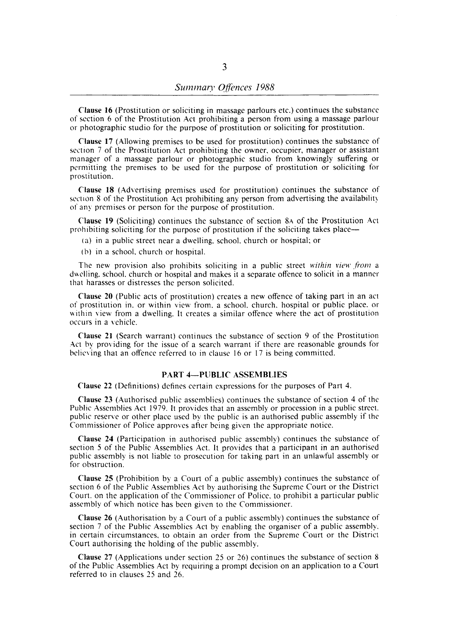Clause 16 (Prostitution or soliciting in massage parlours etc.) continues the substance of section 6 of the Prostitution Act prohibiting a person from using a massage parlour or photographic studio for the purpose of prostitution or soliciting for prostitution.

Clause 17 (Allowing premises to be used for prostitution) continues the substance of section 7 of the Prostitution Act prohibiting the owner, occupier, manager or assistant manager of a massage parlour or photographic studio from knowingly suffering or permitting the premises to be used for the purpose of prostitution or soliciting for prostitution.

Clause 18 (Advertising premises used for prostitution) continues the substance of section 8 of the Prostitution Act prohibiting any person from advertising the availability of any premises or person for the purpose of prostitution.

Clause 19 (Soliciting) continues the substance of section 8A of the Prostitution Act prohibiting soliciting for the purpose of prostitution if the soliciting takes place—

- (a) in a public street near a dwelling. school, church or hospital; or
- (h) in a school. church or hospital.

The new provision also prohibits soliciting in a public street *within view from* a dwelling. school. church or hospital and makes it a separate offence to solicit in a manner that harasses or distresses the person solicited.

Clause 20 (Public acts of prostitution) creates a new offence of taking part in an act of prostitution in. or within view from. a school. church. hospital or public place. or within view from a dwelling. It creates a similar offence where the act of prostitution occurs in a vehicle.

Clause 21 (Search warrant) continues the substance of section 9 of the Prostitution Act hy providing for the issue of a search warrant if there are reasonable grounds for helieying that an offence referred to in clause 16 or 17 is being committed.

#### PART 4-PUBLIC ASSEMBLIES

Clause 22 (Definitions) defines certain expressions for the purposes of Part 4.

Clause 23 (Authorised public assemblies) continues the substance of section 4 of the Public Assemblies Act 1979. It provides that an assembly or procession in a public street. public reserve or other place used by the public is an authorised public assembly if the Commissioner of Police approves after being given the appropriate notice.

Clause 24 (Participation in authorised public assembly) continues the substance of section 5 of the Public Assemblies Act. It provides that a participant in an authorised public assembly is not liable to prosecution for taking part in an unlawful assembly or for obstruction.

Clause 25 (Prohibition by a Court of a public assembly) continues the substance of section 6 of the Public Assemblies Act by authorising the Supreme Court or the District Court. on the application of the Commissioner of Police. to prohibit a particular public assembly of which notice has been given to the Commissioner.

Clause 26 (Authorisation by a Court of a public assembly) continues the substance of section 7 of the Public Assemblies Act by enabling the organiser of a public assembly. in certain circumstances, to obtain an order from the Supreme Court or the District Court authorising the holding of the public assembly.

Clause 27 (Applications under section 25 or 26) continues the substance of section 8 of the Public Assemblies Act by requiring a prompt decision on an application to a Court referred to in clauses 25 and 26.